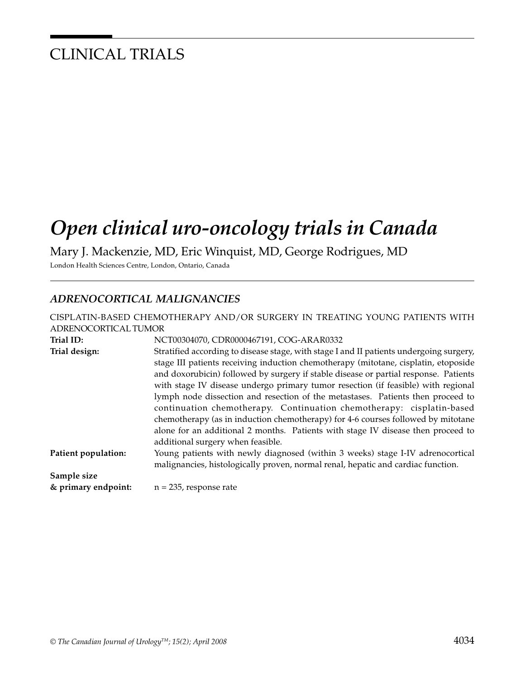## CLINICAL TRIALS

# *Open clinical uro-oncology trials in Canada*

Mary J. Mackenzie, MD, Eric Winquist, MD, George Rodrigues, MD

London Health Sciences Centre, London, Ontario, Canada

## *ADRENOCORTICAL MALIGNANCIES*

|                      | CISPLATIN-BASED CHEMOTHERAPY AND/OR SURGERY IN TREATING YOUNG PATIENTS WITH             |
|----------------------|-----------------------------------------------------------------------------------------|
| ADRENOCORTICAL TUMOR |                                                                                         |
| Trial ID:            | NCT00304070, CDR0000467191, COG-ARAR0332                                                |
| Trial design:        | Stratified according to disease stage, with stage I and II patients undergoing surgery, |
|                      | stage III patients receiving induction chemotherapy (mitotane, cisplatin, etoposide     |
|                      | and doxorubicin) followed by surgery if stable disease or partial response. Patients    |
|                      | with stage IV disease undergo primary tumor resection (if feasible) with regional       |
|                      | lymph node dissection and resection of the metastases. Patients then proceed to         |
|                      | continuation chemotherapy. Continuation chemotherapy: cisplatin-based                   |
|                      | chemotherapy (as in induction chemotherapy) for 4-6 courses followed by mitotane        |
|                      | alone for an additional 2 months. Patients with stage IV disease then proceed to        |
|                      | additional surgery when feasible.                                                       |
| Patient population:  | Young patients with newly diagnosed (within 3 weeks) stage I-IV adrenocortical          |
|                      | malignancies, histologically proven, normal renal, hepatic and cardiac function.        |
| Sample size          |                                                                                         |
| & primary endpoint:  | $n = 235$ , response rate                                                               |
|                      |                                                                                         |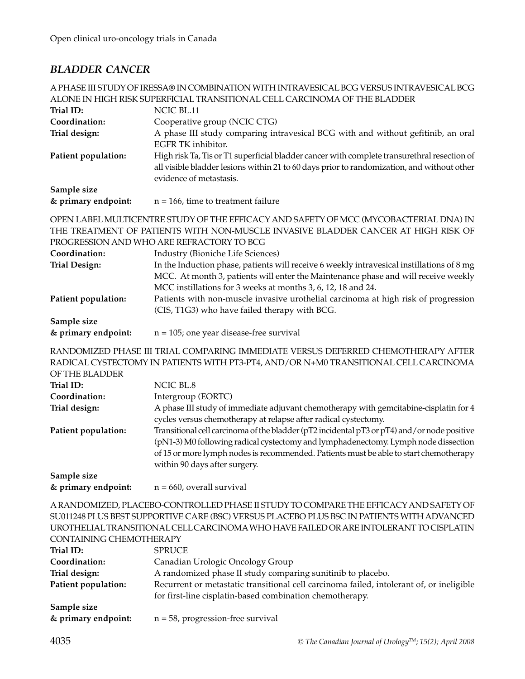## *BLADDER CANCER*

| A PHASE III STUDY OF IRESSA® IN COMBINATION WITH INTRAVESICAL BCG VERSUS INTRAVESICAL BCG<br>ALONE IN HIGH RISK SUPERFICIAL TRANSITIONAL CELL CARCINOMA OF THE BLADDER                                                                                                                                  |                                                                                                                                                                                                                                                 |
|---------------------------------------------------------------------------------------------------------------------------------------------------------------------------------------------------------------------------------------------------------------------------------------------------------|-------------------------------------------------------------------------------------------------------------------------------------------------------------------------------------------------------------------------------------------------|
| Trial ID:                                                                                                                                                                                                                                                                                               | NCIC BL.11                                                                                                                                                                                                                                      |
| Coordination:                                                                                                                                                                                                                                                                                           | Cooperative group (NCIC CTG)                                                                                                                                                                                                                    |
| Trial design:                                                                                                                                                                                                                                                                                           | A phase III study comparing intravesical BCG with and without gefitinib, an oral<br>EGFR TK inhibitor.                                                                                                                                          |
| Patient population:                                                                                                                                                                                                                                                                                     | High risk Ta, Tis or T1 superficial bladder cancer with complete transurethral resection of<br>all visible bladder lesions within 21 to 60 days prior to randomization, and without other<br>evidence of metastasis.                            |
| Sample size                                                                                                                                                                                                                                                                                             |                                                                                                                                                                                                                                                 |
| & primary endpoint:                                                                                                                                                                                                                                                                                     | $n = 166$ , time to treatment failure                                                                                                                                                                                                           |
|                                                                                                                                                                                                                                                                                                         | OPEN LABEL MULTICENTRE STUDY OF THE EFFICACY AND SAFETY OF MCC (MYCOBACTERIAL DNA) IN<br>THE TREATMENT OF PATIENTS WITH NON-MUSCLE INVASIVE BLADDER CANCER AT HIGH RISK OF<br>PROGRESSION AND WHO ARE REFRACTORY TO BCG                         |
| Coordination:                                                                                                                                                                                                                                                                                           | Industry (Bioniche Life Sciences)                                                                                                                                                                                                               |
| <b>Trial Design:</b>                                                                                                                                                                                                                                                                                    | In the Induction phase, patients will receive 6 weekly intravesical instillations of 8 mg<br>MCC. At month 3, patients will enter the Maintenance phase and will receive weekly<br>MCC instillations for 3 weeks at months 3, 6, 12, 18 and 24. |
| Patient population:                                                                                                                                                                                                                                                                                     | Patients with non-muscle invasive urothelial carcinoma at high risk of progression<br>(CIS, T1G3) who have failed therapy with BCG.                                                                                                             |
| Sample size                                                                                                                                                                                                                                                                                             |                                                                                                                                                                                                                                                 |
| & primary endpoint:                                                                                                                                                                                                                                                                                     | $n = 105$ ; one year disease-free survival                                                                                                                                                                                                      |
| OF THE BLADDER                                                                                                                                                                                                                                                                                          | RANDOMIZED PHASE III TRIAL COMPARING IMMEDIATE VERSUS DEFERRED CHEMOTHERAPY AFTER<br>RADICAL CYSTECTOMY IN PATIENTS WITH PT3-PT4, AND/OR N+M0 TRANSITIONAL CELL CARCINOMA                                                                       |
| Trial ID:                                                                                                                                                                                                                                                                                               | NCIC BL.8                                                                                                                                                                                                                                       |
| Coordination:                                                                                                                                                                                                                                                                                           | Intergroup (EORTC)                                                                                                                                                                                                                              |
| Trial design:                                                                                                                                                                                                                                                                                           | A phase III study of immediate adjuvant chemotherapy with gemcitabine-cisplatin for 4                                                                                                                                                           |
| Patient population:                                                                                                                                                                                                                                                                                     | cycles versus chemotherapy at relapse after radical cystectomy.<br>Transitional cell carcinoma of the bladder (pT2 incidental pT3 or pT4) and/or node positive                                                                                  |
|                                                                                                                                                                                                                                                                                                         | (pN1-3) M0 following radical cystectomy and lymphadenectomy. Lymph node dissection<br>of 15 or more lymph nodes is recommended. Patients must be able to start chemotherapy<br>within 90 days after surgery.                                    |
| Sample size                                                                                                                                                                                                                                                                                             |                                                                                                                                                                                                                                                 |
| & primary endpoint:                                                                                                                                                                                                                                                                                     | $n = 660$ , overall survival                                                                                                                                                                                                                    |
| A RANDOMIZED, PLACEBO-CONTROLLED PHASE II STUDY TO COMPARE THE EFFICACY AND SAFETY OF<br>SU011248 PLUS BEST SUPPORTIVE CARE (BSC) VERSUS PLACEBO PLUS BSC IN PATIENTS WITH ADVANCED<br>UROTHELIAL TRANSITIONAL CELL CARCINOMA WHO HAVE FAILED OR ARE INTOLERANT TO CISPLATIN<br>CONTAINING CHEMOTHERAPY |                                                                                                                                                                                                                                                 |
| Trial ID:                                                                                                                                                                                                                                                                                               | <b>SPRUCE</b>                                                                                                                                                                                                                                   |
| Coordination:                                                                                                                                                                                                                                                                                           | Canadian Urologic Oncology Group                                                                                                                                                                                                                |
| Trial design:                                                                                                                                                                                                                                                                                           | A randomized phase II study comparing sunitinib to placebo.                                                                                                                                                                                     |
| Patient population:                                                                                                                                                                                                                                                                                     | Recurrent or metastatic transitional cell carcinoma failed, intolerant of, or ineligible<br>for first-line cisplatin-based combination chemotherapy.                                                                                            |
| Sample size                                                                                                                                                                                                                                                                                             |                                                                                                                                                                                                                                                 |
| & primary endpoint:                                                                                                                                                                                                                                                                                     | $n = 58$ , progression-free survival                                                                                                                                                                                                            |
| AODE                                                                                                                                                                                                                                                                                                    |                                                                                                                                                                                                                                                 |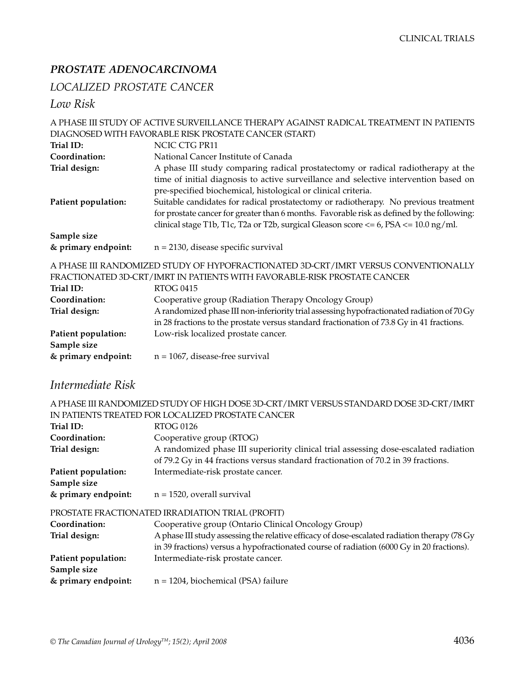## *PROSTATE ADENOCARCINOMA*

## *LOCALIZED PROSTATE CANCER*

*Low Risk*

|                                                                                    | A PHASE III STUDY OF ACTIVE SURVEILLANCE THERAPY AGAINST RADICAL TREATMENT IN PATIENTS                                                                                                                                                                                                                                                                                                                                                        |
|------------------------------------------------------------------------------------|-----------------------------------------------------------------------------------------------------------------------------------------------------------------------------------------------------------------------------------------------------------------------------------------------------------------------------------------------------------------------------------------------------------------------------------------------|
|                                                                                    | DIAGNOSED WITH FAVORABLE RISK PROSTATE CANCER (START)                                                                                                                                                                                                                                                                                                                                                                                         |
| Trial ID:                                                                          | NCIC CTG PR11                                                                                                                                                                                                                                                                                                                                                                                                                                 |
| Coordination:                                                                      | National Cancer Institute of Canada                                                                                                                                                                                                                                                                                                                                                                                                           |
| Trial design:                                                                      | A phase III study comparing radical prostatectomy or radical radiotherapy at the                                                                                                                                                                                                                                                                                                                                                              |
| Patient population:                                                                | time of initial diagnosis to active surveillance and selective intervention based on<br>pre-specified biochemical, histological or clinical criteria.<br>Suitable candidates for radical prostatectomy or radiotherapy. No previous treatment<br>for prostate cancer for greater than 6 months. Favorable risk as defined by the following:<br>clinical stage T1b, T1c, T2a or T2b, surgical Gleason score $\lt$ = 6, PSA $\lt$ = 10.0 ng/ml. |
| Sample size<br>& primary endpoint:                                                 | $n = 2130$ , disease specific survival                                                                                                                                                                                                                                                                                                                                                                                                        |
| A PHASE III RANDOMIZED STUDY OF HYPOFRACTIONATED 3D-CRT/IMRT VERSUS CONVENTIONALLY |                                                                                                                                                                                                                                                                                                                                                                                                                                               |

|                     | FRACTIONATED 3D-CRT/IMRT IN PATIENTS WITH FAVORABLE-RISK PROSTATE CANCER                   |
|---------------------|--------------------------------------------------------------------------------------------|
| Trial ID:           | RTOG 0415                                                                                  |
| Coordination:       | Cooperative group (Radiation Therapy Oncology Group)                                       |
| Trial design:       | A randomized phase III non-inferiority trial assessing hypofractionated radiation of 70 Gy |
|                     | in 28 fractions to the prostate versus standard fractionation of 73.8 Gy in 41 fractions.  |
| Patient population: | Low-risk localized prostate cancer.                                                        |
| Sample size         |                                                                                            |
| & primary endpoint: | $n = 1067$ , disease-free survival                                                         |
|                     |                                                                                            |

## *Intermediate Risk*

| A PHASE III RANDOMIZED STUDY OF HIGH DOSE 3D-CRT/IMRT VERSUS STANDARD DOSE 3D-CRT/IMRT |  |
|----------------------------------------------------------------------------------------|--|
| IN PATIENTS TREATED FOR LOCALIZED PROSTATE CANCER                                      |  |

| Trial ID:           | <b>RTOG 0126</b>                                                                              |
|---------------------|-----------------------------------------------------------------------------------------------|
| Coordination:       | Cooperative group (RTOG)                                                                      |
| Trial design:       | A randomized phase III superiority clinical trial assessing dose-escalated radiation          |
|                     | of 79.2 Gy in 44 fractions versus standard fractionation of 70.2 in 39 fractions.             |
| Patient population: | Intermediate-risk prostate cancer.                                                            |
| Sample size         |                                                                                               |
| & primary endpoint: | $n = 1520$ , overall survival                                                                 |
|                     | PROSTATE FRACTIONATED IRRADIATION TRIAL (PROFIT)                                              |
| Coordination:       | Cooperative group (Ontario Clinical Oncology Group)                                           |
| Trial design:       | A phase III study assessing the relative efficacy of dose-escalated radiation therapy (78 Gy) |
|                     | in 39 fractions) versus a hypofractionated course of radiation (6000 Gy in 20 fractions).     |
| Patient population: | Intermediate-risk prostate cancer.                                                            |
| Sample size         |                                                                                               |
| & primary endpoint: | $n = 1204$ , biochemical (PSA) failure                                                        |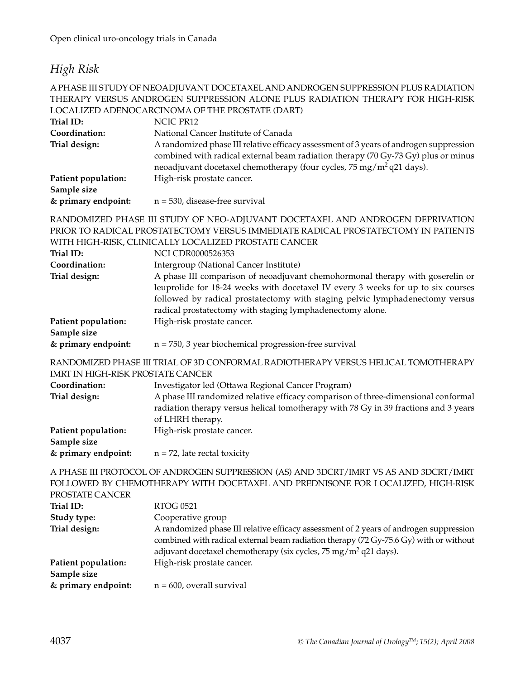## *High Risk*

#### A PHASE III STUDY OF NEOADJUVANT DOCETAXEL AND ANDROGEN SUPPRESSION PLUS RADIATION THERAPY VERSUS ANDROGEN SUPPRESSION ALONE PLUS RADIATION THERAPY FOR HIGH-RISK LOCALIZED ADENOCARCINOMA OF THE PROSTATE (DART)

|                                          | LOCALIZED ADENOCARCINOMA OF THE PROSTATE (DART)                                                                                                                                                                                                                                                                |
|------------------------------------------|----------------------------------------------------------------------------------------------------------------------------------------------------------------------------------------------------------------------------------------------------------------------------------------------------------------|
| Trial ID:                                | NCIC PR12                                                                                                                                                                                                                                                                                                      |
| Coordination:                            | National Cancer Institute of Canada                                                                                                                                                                                                                                                                            |
| Trial design:                            | A randomized phase III relative efficacy assessment of 3 years of androgen suppression<br>combined with radical external beam radiation therapy (70 Gy-73 Gy) plus or minus<br>neoadjuvant docetaxel chemotherapy (four cycles, 75 mg/m <sup>2</sup> q21 days).                                                |
| Patient population:<br>Sample size       | High-risk prostate cancer.                                                                                                                                                                                                                                                                                     |
| & primary endpoint:                      | $n = 530$ , disease-free survival                                                                                                                                                                                                                                                                              |
|                                          | RANDOMIZED PHASE III STUDY OF NEO-ADJUVANT DOCETAXEL AND ANDROGEN DEPRIVATION<br>PRIOR TO RADICAL PROSTATECTOMY VERSUS IMMEDIATE RADICAL PROSTATECTOMY IN PATIENTS                                                                                                                                             |
|                                          | WITH HIGH-RISK, CLINICALLY LOCALIZED PROSTATE CANCER                                                                                                                                                                                                                                                           |
| Trial ID:                                | <b>NCI CDR0000526353</b>                                                                                                                                                                                                                                                                                       |
| Coordination:                            | Intergroup (National Cancer Institute)                                                                                                                                                                                                                                                                         |
| Trial design:                            | A phase III comparison of neoadjuvant chemohormonal therapy with goserelin or<br>leuprolide for 18-24 weeks with docetaxel IV every 3 weeks for up to six courses<br>followed by radical prostatectomy with staging pelvic lymphadenectomy versus<br>radical prostatectomy with staging lymphadenectomy alone. |
| Patient population:                      | High-risk prostate cancer.                                                                                                                                                                                                                                                                                     |
| Sample size                              |                                                                                                                                                                                                                                                                                                                |
| & primary endpoint:                      | $n = 750$ , 3 year biochemical progression-free survival                                                                                                                                                                                                                                                       |
| <b>IMRT IN HIGH-RISK PROSTATE CANCER</b> | RANDOMIZED PHASE III TRIAL OF 3D CONFORMAL RADIOTHERAPY VERSUS HELICAL TOMOTHERAPY                                                                                                                                                                                                                             |
| Coordination:                            | Investigator led (Ottawa Regional Cancer Program)                                                                                                                                                                                                                                                              |
|                                          |                                                                                                                                                                                                                                                                                                                |

| Trial design:       | A phase III randomized relative efficacy comparison of three-dimensional conformal  |
|---------------------|-------------------------------------------------------------------------------------|
|                     | radiation therapy versus helical tomotherapy with 78 Gy in 39 fractions and 3 years |
|                     | of LHRH therapy.                                                                    |
| Patient population: | High-risk prostate cancer.                                                          |
| Sample size         |                                                                                     |

#### **& primary endpoint:** n = 72, late rectal toxicity

A PHASE III PROTOCOL OF ANDROGEN SUPPRESSION (AS) AND 3DCRT/IMRT VS AS AND 3DCRT/IMRT FOLLOWED BY CHEMOTHERAPY WITH DOCETAXEL AND PREDNISONE FOR LOCALIZED, HIGH-RISK PROSTATE CANCEP

| <b>RTOG 0521</b>                                                                                                                                                                                                                                               |
|----------------------------------------------------------------------------------------------------------------------------------------------------------------------------------------------------------------------------------------------------------------|
| Cooperative group                                                                                                                                                                                                                                              |
| A randomized phase III relative efficacy assessment of 2 years of androgen suppression<br>combined with radical external beam radiation therapy (72 Gy-75.6 Gy) with or without<br>adjuvant docetaxel chemotherapy (six cycles, $75 \text{ mg/m}^2$ q21 days). |
| High-risk prostate cancer.                                                                                                                                                                                                                                     |
| $n = 600$ , overall survival                                                                                                                                                                                                                                   |
|                                                                                                                                                                                                                                                                |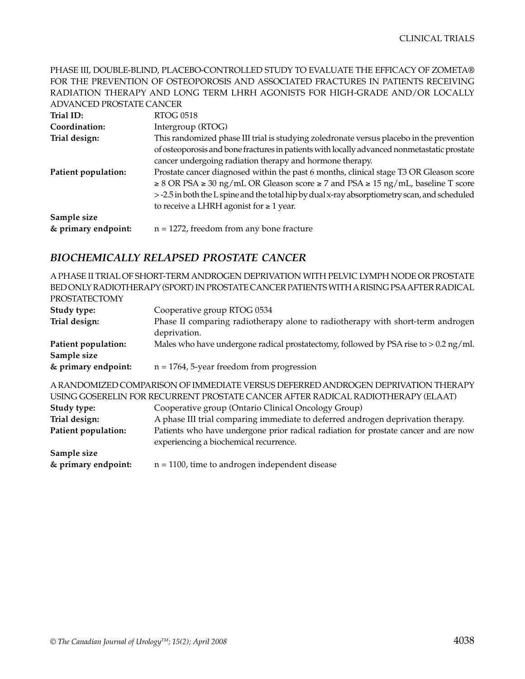PHASE III, DOUBLE-BLIND, PLACEBO-CONTROLLED STUDY TO EVALUATE THE EFFICACY OF ZOMETA® FOR THE PREVENTION OF OSTEOPOROSIS AND ASSOCIATED FRACTURES IN PATIENTS RECEIVING RADIATION THERAPY AND LONG TERM LHRH AGONISTS FOR HIGH-GRADE AND/OR LOCALLY ADVANCED PROSTATE CANCER

| Trial ID:           | RTOG 0518                                                                                           |
|---------------------|-----------------------------------------------------------------------------------------------------|
| Coordination:       | Intergroup (RTOG)                                                                                   |
| Trial design:       | This randomized phase III trial is studying zoledronate versus placebo in the prevention            |
|                     | of osteoporosis and bone fractures in patients with locally advanced nonmetastatic prostate         |
|                     | cancer undergoing radiation therapy and hormone therapy.                                            |
| Patient population: | Prostate cancer diagnosed within the past 6 months, clinical stage T3 OR Gleason score              |
|                     | $\geq$ 8 OR PSA $\geq$ 30 ng/mL OR Gleason score $\geq$ 7 and PSA $\geq$ 15 ng/mL, baseline T score |
|                     | > -2.5 in both the L spine and the total hip by dual x-ray absorptiometry scan, and scheduled       |
|                     | to receive a LHRH agonist for $\geq 1$ year.                                                        |
| Sample size         |                                                                                                     |
| & primary endpoint: | $n = 1272$ , freedom from any bone fracture                                                         |

#### *BIOCHEMICALLY RELAPSED PROSTATE CANCER*

A PHASE II TRIAL OF SHORT-TERM ANDROGEN DEPRIVATION WITH PELVIC LYMPH NODE OR PROSTATE BED ONLY RADIOTHERAPY (SPORT) IN PROSTATE CANCER PATIENTS WITH A RISING PSA AFTER RADICAL PROSTATECTOMY

| PROSTATECTOMY       |                                                                                                                               |
|---------------------|-------------------------------------------------------------------------------------------------------------------------------|
| Study type:         | Cooperative group RTOG 0534                                                                                                   |
| Trial design:       | Phase II comparing radiotherapy alone to radiotherapy with short-term androgen<br>deprivation.                                |
| Patient population: | Males who have undergone radical prostatectomy, followed by PSA rise to $> 0.2$ ng/ml.                                        |
| Sample size         |                                                                                                                               |
| & primary endpoint: | $n = 1764$ , 5-year freedom from progression                                                                                  |
|                     | A RANDOMIZED COMPARISON OF IMMEDIATE VERSUS DEFERRED ANDROGEN DEPRIVATION THERAPY                                             |
|                     | USING GOSERELIN FOR RECURRENT PROSTATE CANCER AFTER RADICAL RADIOTHERAPY (ELAAT)                                              |
| Study type:         | Cooperative group (Ontario Clinical Oncology Group)                                                                           |
| Trial design:       | A phase III trial comparing immediate to deferred androgen deprivation therapy.                                               |
| Patient population: | Patients who have undergone prior radical radiation for prostate cancer and are now<br>experiencing a biochemical recurrence. |
| Sample size         |                                                                                                                               |
| & primary endpoint: | $n = 1100$ , time to androgen independent disease                                                                             |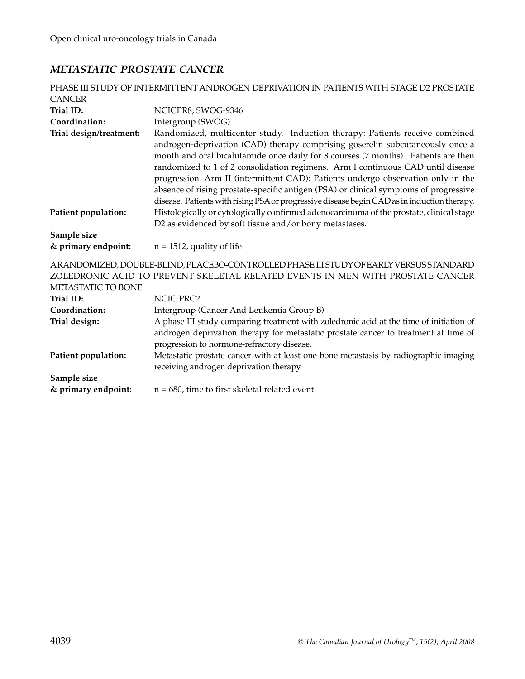## *METASTATIC PROSTATE CANCER*

| PHASE III STUDY OF INTERMITTENT ANDROGEN DEPRIVATION IN PATIENTS WITH STAGE D2 PROSTATE                                                                                                        |                                                                                                                                                                                                                                                                                                                                                                                                                                                                                                                                                                                                                   |  |
|------------------------------------------------------------------------------------------------------------------------------------------------------------------------------------------------|-------------------------------------------------------------------------------------------------------------------------------------------------------------------------------------------------------------------------------------------------------------------------------------------------------------------------------------------------------------------------------------------------------------------------------------------------------------------------------------------------------------------------------------------------------------------------------------------------------------------|--|
| <b>CANCER</b>                                                                                                                                                                                  |                                                                                                                                                                                                                                                                                                                                                                                                                                                                                                                                                                                                                   |  |
| Trial ID:                                                                                                                                                                                      | NCICPR8, SWOG-9346                                                                                                                                                                                                                                                                                                                                                                                                                                                                                                                                                                                                |  |
| Coordination:                                                                                                                                                                                  | Intergroup (SWOG)                                                                                                                                                                                                                                                                                                                                                                                                                                                                                                                                                                                                 |  |
| Trial design/treatment:                                                                                                                                                                        | Randomized, multicenter study. Induction therapy: Patients receive combined<br>androgen-deprivation (CAD) therapy comprising goserelin subcutaneously once a<br>month and oral bicalutamide once daily for 8 courses (7 months). Patients are then<br>randomized to 1 of 2 consolidation regimens. Arm I continuous CAD until disease<br>progression. Arm II (intermittent CAD): Patients undergo observation only in the<br>absence of rising prostate-specific antigen (PSA) or clinical symptoms of progressive<br>disease. Patients with rising PSA or progressive disease begin CAD as in induction therapy. |  |
| Patient population:                                                                                                                                                                            | Histologically or cytologically confirmed adenocarcinoma of the prostate, clinical stage<br>D2 as evidenced by soft tissue and/or bony metastases.                                                                                                                                                                                                                                                                                                                                                                                                                                                                |  |
| Sample size                                                                                                                                                                                    |                                                                                                                                                                                                                                                                                                                                                                                                                                                                                                                                                                                                                   |  |
| & primary endpoint:                                                                                                                                                                            | $n = 1512$ , quality of life                                                                                                                                                                                                                                                                                                                                                                                                                                                                                                                                                                                      |  |
| ARANDOMIZED, DOUBLE-BLIND, PLACEBO-CONTROLLED PHASE III STUDY OF EARLY VERSUS STANDARD<br>ZOLEDRONIC ACID TO PREVENT SKELETAL RELATED EVENTS IN MEN WITH PROSTATE CANCER<br>METASTATIC TO BONE |                                                                                                                                                                                                                                                                                                                                                                                                                                                                                                                                                                                                                   |  |
| Trial ID:                                                                                                                                                                                      | <b>NCIC PRC2</b>                                                                                                                                                                                                                                                                                                                                                                                                                                                                                                                                                                                                  |  |
| Coordination:                                                                                                                                                                                  | Intergroup (Cancer And Leukemia Group B)                                                                                                                                                                                                                                                                                                                                                                                                                                                                                                                                                                          |  |
| Trial design:                                                                                                                                                                                  | A phase III study comparing treatment with zoledronic acid at the time of initiation of<br>androgen deprivation therapy for metastatic prostate cancer to treatment at time of<br>progression to hormone-refractory disease.                                                                                                                                                                                                                                                                                                                                                                                      |  |
| Patient population:                                                                                                                                                                            | Metastatic prostate cancer with at least one bone metastasis by radiographic imaging<br>receiving androgen deprivation therapy.                                                                                                                                                                                                                                                                                                                                                                                                                                                                                   |  |
| Sample size                                                                                                                                                                                    |                                                                                                                                                                                                                                                                                                                                                                                                                                                                                                                                                                                                                   |  |
| & primary endpoint:                                                                                                                                                                            | $n = 680$ , time to first skeletal related event                                                                                                                                                                                                                                                                                                                                                                                                                                                                                                                                                                  |  |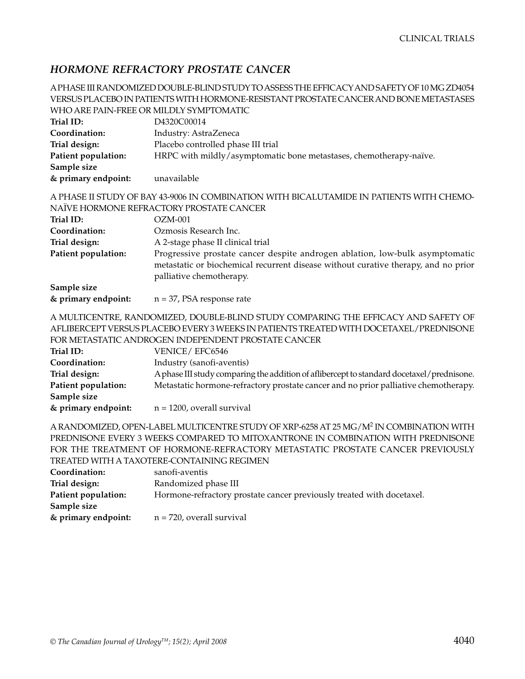### *HORMONE REFRACTORY PROSTATE CANCER*

A PHASE III RANDOMIZED DOUBLE-BLIND STUDY TO ASSESS THE EFFICACY AND SAFETY OF 10 MG ZD4054 VERSUS PLACEBO IN PATIENTS WITH HORMONE-RESISTANT PROSTATE CANCER AND BONE METASTASES WHO ARE PAIN-FREE OR MILDLY SYMPTOMATIC **Trial ID:** D4320C00014 **Coordination:** Industry: AstraZeneca **Trial design:** Placebo controlled phase III trial Patient population: HRPC with mildly/asymptomatic bone metastases, chemotherapy-naïve. **Sample size & primary endpoint:** unavailable A PHASE II STUDY OF BAY 43-9006 IN COMBINATION WITH BICALUTAMIDE IN PATIENTS WITH CHEMO-NAÏVE HORMONE REFRACTORY PROSTATE CANCER **Trial ID:** OZM-001 **Coordination:** Ozmosis Research Inc. **Trial design:** A 2-stage phase II clinical trial **Patient population:** Progressive prostate cancer despite androgen ablation, low-bulk asymptomatic metastatic or biochemical recurrent disease without curative therapy, and no prior

| Sample size         |                              |
|---------------------|------------------------------|
| & primary endpoint: | $n = 37$ , PSA response rate |

palliative chemotherapy.

#### A MULTICENTRE, RANDOMIZED, DOUBLE-BLIND STUDY COMPARING THE EFFICACY AND SAFETY OF AFLIBERCEPT VERSUS PLACEBO EVERY 3 WEEKS IN PATIENTS TREATED WITH DOCETAXEL/PREDNISONE FOR METASTATIC ANDROGEN INDEPENDENT PROSTATE CANCER

| Trial ID:           | VENICE/EFC6546                                                                            |
|---------------------|-------------------------------------------------------------------------------------------|
| Coordination:       | Industry (sanofi-aventis)                                                                 |
| Trial design:       | A phase III study comparing the addition of affibercept to standard docetaxel/prednisone. |
| Patient population: | Metastatic hormone-refractory prostate cancer and no prior palliative chemotherapy.       |
| Sample size         |                                                                                           |
| & primary endpoint: | $n = 1200$ , overall survival                                                             |

#### A RANDOMIZED, OPEN-LABEL MULTICENTRE STUDY OF XRP-6258 AT 25 MG/M2 IN COMBINATION WITH PREDNISONE EVERY 3 WEEKS COMPARED TO MITOXANTRONE IN COMBINATION WITH PREDNISONE FOR THE TREATMENT OF HORMONE-REFRACTORY METASTATIC PROSTATE CANCER PREVIOUSLY TREATED WITH A TAXOTERE-CONTAINING REGIMEN

| Coordination:       | sanofi-aventis                                                        |
|---------------------|-----------------------------------------------------------------------|
| Trial design:       | Randomized phase III                                                  |
| Patient population: | Hormone-refractory prostate cancer previously treated with docetaxel. |
| Sample size         |                                                                       |
| & primary endpoint: | $n = 720$ , overall survival                                          |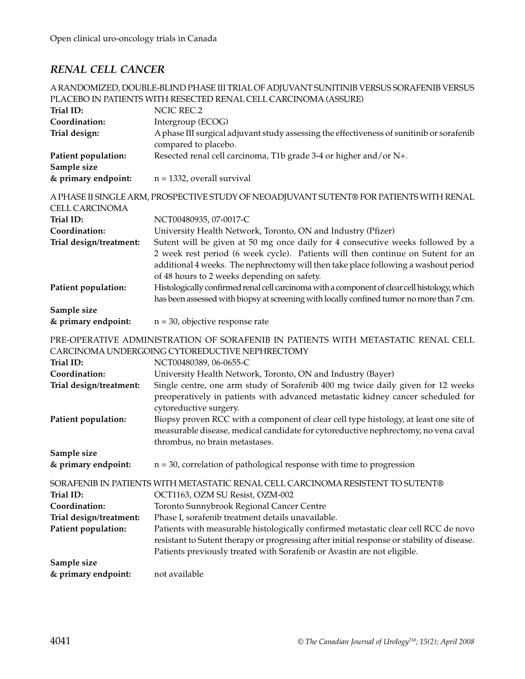## *RENAL CELL CANCER*

|                         | A RANDOMIZED, DOUBLE-BLIND PHASE III TRIAL OF ADJUVANT SUNITINIB VERSUS SORAFENIB VERSUS                                                                                                                                                                                                                |
|-------------------------|---------------------------------------------------------------------------------------------------------------------------------------------------------------------------------------------------------------------------------------------------------------------------------------------------------|
|                         | PLACEBO IN PATIENTS WITH RESECTED RENAL CELL CARCINOMA (ASSURE)                                                                                                                                                                                                                                         |
| Trial ID:               | <b>NCIC REC.2</b>                                                                                                                                                                                                                                                                                       |
| Coordination:           | Intergroup (ECOG)                                                                                                                                                                                                                                                                                       |
| Trial design:           | A phase III surgical adjuvant study assessing the effectiveness of sunitinib or sorafenib<br>compared to placebo.                                                                                                                                                                                       |
| Patient population:     | Resected renal cell carcinoma, T1b grade 3-4 or higher and/or N+.                                                                                                                                                                                                                                       |
| Sample size             |                                                                                                                                                                                                                                                                                                         |
| & primary endpoint:     | $n = 1332$ , overall survival                                                                                                                                                                                                                                                                           |
| <b>CELL CARCINOMA</b>   | A PHASE II SINGLE ARM, PROSPECTIVE STUDY OF NEOADJUVANT SUTENT® FOR PATIENTS WITH RENAL                                                                                                                                                                                                                 |
| Trial ID:               | NCT00480935, 07-0017-C                                                                                                                                                                                                                                                                                  |
| Coordination:           | University Health Network, Toronto, ON and Industry (Pfizer)                                                                                                                                                                                                                                            |
| Trial design/treatment: | Sutent will be given at 50 mg once daily for 4 consecutive weeks followed by a<br>2 week rest period (6 week cycle). Patients will then continue on Sutent for an<br>additional 4 weeks. The nephrectomy will then take place following a washout period<br>of 48 hours to 2 weeks depending on safety. |
| Patient population:     | Histologically confirmed renal cell carcinoma with a component of clear cell histology, which<br>has been assessed with biopsy at screening with locally confined tumor no more than 7 cm.                                                                                                              |
| Sample size             |                                                                                                                                                                                                                                                                                                         |
| & primary endpoint:     | $n = 30$ , objective response rate                                                                                                                                                                                                                                                                      |
|                         | PRE-OPERATIVE ADMINISTRATION OF SORAFENIB IN PATIENTS WITH METASTATIC RENAL CELL<br>CARCINOMA UNDERGOING CYTOREDUCTIVE NEPHRECTOMY                                                                                                                                                                      |
| Trial ID:               | NCT00480389, 06-0655-C                                                                                                                                                                                                                                                                                  |
| Coordination:           | University Health Network, Toronto, ON and Industry (Bayer)                                                                                                                                                                                                                                             |
| Trial design/treatment: | Single centre, one arm study of Sorafenib 400 mg twice daily given for 12 weeks<br>preoperatively in patients with advanced metastatic kidney cancer scheduled for<br>cytoreductive surgery.                                                                                                            |
| Patient population:     | Biopsy proven RCC with a component of clear cell type histology, at least one site of<br>measurable disease, medical candidate for cytoreductive nephrectomy, no vena caval<br>thrombus, no brain metastases.                                                                                           |
| Sample size             |                                                                                                                                                                                                                                                                                                         |
| & primary endpoint:     | $n = 30$ , correlation of pathological response with time to progression                                                                                                                                                                                                                                |
|                         | SORAFENIB IN PATIENTS WITH METASTATIC RENAL CELL CARCINOMA RESISTENT TO SUTENT®                                                                                                                                                                                                                         |
| Trial ID:               | OCT1163, OZM SU Resist, OZM-002                                                                                                                                                                                                                                                                         |
| Coordination:           | Toronto Sunnybrook Regional Cancer Centre                                                                                                                                                                                                                                                               |
| Trial design/treatment: | Phase I, sorafenib treatment details unavailable.                                                                                                                                                                                                                                                       |
| Patient population:     | Patients with measurable histologically confirmed metastatic clear cell RCC de novo<br>resistant to Sutent therapy or progressing after initial response or stability of disease.<br>Patients previously treated with Sorafenib or Avastin are not eligible.                                            |
| Sample size             |                                                                                                                                                                                                                                                                                                         |
| & primary endpoint:     | not available                                                                                                                                                                                                                                                                                           |